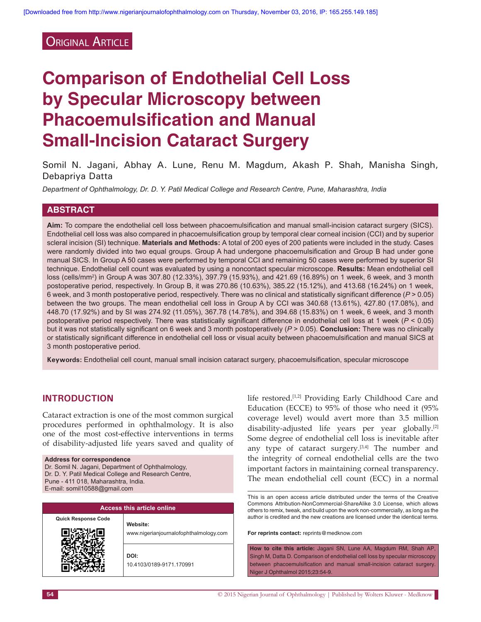# **ORIGINAL ARTICLE**

# **Comparison of Endothelial Cell Loss by Specular Microscopy between Phacoemulsification and Manual Small-Incision Cataract Surgery**

Somil N. Jagani, Abhay A. Lune, Renu M. Magdum, Akash P. Shah, Manisha Singh, Debapriya Datta

*Department of Ophthalmology, Dr. D. Y. Patil Medical College and Research Centre, Pune, Maharashtra, India*

## **ABSTRACT**

**Aim:** To compare the endothelial cell loss between phacoemulsification and manual small‑incision cataract surgery (SICS). Endothelial cell loss was also compared in phacoemulsification group by temporal clear corneal incision (CCI) and by superior scleral incision (SI) technique. **Materials and Methods:** A total of 200 eyes of 200 patients were included in the study. Cases were randomly divided into two equal groups. Group A had undergone phacoemulsification and Group B had under gone manual SICS. In Group A 50 cases were performed by temporal CCI and remaining 50 cases were performed by superior SI technique. Endothelial cell count was evaluated by using a noncontact specular microscope. **Results:** Mean endothelial cell loss (cells/mm2 ) in Group A was 307.80 (12.33%), 397.79 (15.93%), and 421.69 (16.89%) on 1 week, 6 week, and 3 month postoperative period, respectively. In Group B, it was 270.86 (10.63%), 385.22 (15.12%), and 413.68 (16.24%) on 1 week, 6 week, and 3 month postoperative period, respectively. There was no clinical and statistically significant difference (*P* > 0.05) between the two groups. The mean endothelial cell loss in Group A by CCI was 340.68 (13.61%), 427.80 (17.08%), and 448.70 (17.92%) and by SI was 274.92 (11.05%), 367.78 (14.78%), and 394.68 (15.83%) on 1 week, 6 week, and 3 month postoperative period respectively. There was statistically significant difference in endothelial cell loss at 1 week (*P* < 0.05) but it was not statistically significant on 6 week and 3 month postoperatively (*P* > 0.05). **Conclusion:** There was no clinically or statistically significant difference in endothelial cell loss or visual acuity between phacoemulsification and manual SICS at 3 month postoperative period.

**Keywords:** Endothelial cell count, manual small incision cataract surgery, phacoemulsification, specular microscope

## **INTRODUCTION**

Cataract extraction is one of the most common surgical procedures performed in ophthalmology. It is also one of the most cost-effective interventions in terms of disability‑adjusted life years saved and quality of

#### **Address for correspondence**

Dr. Somil N. Jagani, Department of Ophthalmology, Dr. D. Y. Patil Medical College and Research Centre, Pune - 411 018, Maharashtra, India. E-mail: somil10588@gmail.com

| <b>Access this article online</b> |                                                    |  |  |  |  |
|-----------------------------------|----------------------------------------------------|--|--|--|--|
| <b>Quick Response Code</b>        | Website:<br>www.nigerianjournalofophthalmology.com |  |  |  |  |
|                                   | DOI:<br>10.4103/0189-9171.170991                   |  |  |  |  |

life restored.[1,2] Providing Early Childhood Care and Education (ECCE) to 95% of those who need it (95% coverage level) would avert more than 3.5 million disability-adjusted life years per year globally.<sup>[2]</sup> Some degree of endothelial cell loss is inevitable after any type of cataract surgery.[3,4] The number and the integrity of corneal endothelial cells are the two important factors in maintaining corneal transparency. The mean endothelial cell count (ECC) in a normal

This is an open access article distributed under the terms of the Creative Commons Attribution-NonCommercial-ShareAlike 3.0 License, which allows others to remix, tweak, and build upon the work non-commercially, as long as the author is credited and the new creations are licensed under the identical terms.

**For reprints contact:** reprints@medknow.com

**How to cite this article:** Jagani SN, Lune AA, Magdum RM, Shah AP, Singh M, Datta D. Comparison of endothelial cell loss by specular microscopy between phacoemulsification and manual small-incision cataract surgery. Niger J Ophthalmol 2015;23:54-9.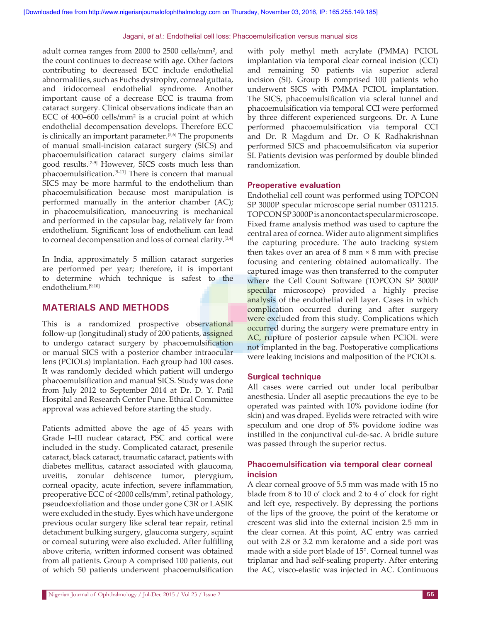adult cornea ranges from 2000 to 2500 cells/mm², and the count continues to decrease with age. Other factors contributing to decreased ECC include endothelial abnormalities, such as Fuchs dystrophy, corneal guttata, and iridocorneal endothelial syndrome. Another important cause of a decrease ECC is trauma from cataract surgery. Clinical observations indicate than an ECC of 400–600 cells/mm² is a crucial point at which endothelial decompensation develops. Therefore ECC is clinically an important parameter.[5,6] The proponents of manual small‑incision cataract surgery (SICS) and phacoemulsification cataract surgery claims similar good results.[7‑9] However, SICS costs much less than phacoemulsification.<sup>[9-11]</sup> There is concern that manual SICS may be more harmful to the endothelium than phacoemulsification because most manipulation is performed manually in the anterior chamber (AC); in phacoemulsification, manoeuvring is mechanical and performed in the capsular bag, relatively far from endothelium. Significant loss of endothelium can lead to corneal decompensation and loss of corneal clarity.[3,4]

In India, approximately 5 million cataract surgeries are performed per year; therefore, it is important to determine which technique is safest to the endothelium.[9,10]

## **MATERIALS AND METHODS**

This is a randomized prospective observational follow-up (longitudinal) study of 200 patients, assigned to undergo cataract surgery by phacoemulsification or manual SICS with a posterior chamber intraocular lens (PCIOLs) implantation. Each group had 100 cases. It was randomly decided which patient will undergo phacoemulsification and manual SICS. Study was done from July 2012 to September 2014 at Dr. D. Y. Patil Hospital and Research Center Pune. Ethical Committee approval was achieved before starting the study.

Patients admitted above the age of 45 years with Grade I–III nuclear cataract, PSC and cortical were included in the study. Complicated cataract, presenile cataract, black cataract, traumatic cataract, patients with diabetes mellitus, cataract associated with glaucoma, uveitis, zonular dehiscence tumor, pterygium, corneal opacity, acute infection, severe inflammation, preoperative ECC of <2000 cells/mm<sup>2</sup> , retinal pathology, pseudoexfoliation and those under gone C3R or LASIK were excluded in the study. Eyes which have undergone previous ocular surgery like scleral tear repair, retinal detachment bulking surgery, glaucoma surgery, squint or corneal suturing were also excluded. After fulfilling above criteria, written informed consent was obtained from all patients. Group A comprised 100 patients, out of which 50 patients underwent phacoemulsification

with poly methyl meth acrylate (PMMA) PCIOL implantation via temporal clear corneal incision (CCI) and remaining 50 patients via superior scleral incision (SI). Group B comprised 100 patients who underwent SICS with PMMA PCIOL implantation. The SICS, phacoemulsification via scleral tunnel and phacoemulsification via temporal CCI were performed by three different experienced surgeons. Dr. A Lune performed phacoemulsification via temporal CCI and Dr. R Magdum and Dr. O K Radhakrishnan performed SICS and phacoemulsificaton via superior SI. Patients devision was performed by double blinded randomization.

## **Preoperative evaluation**

Endothelial cell count was performed using TOPCON SP 3000P specular microscope serial number 0311215. TOPCON SP 3000P is a noncontact specular microscope. Fixed frame analysis method was used to capture the central area of cornea. Wider auto alignment simplifies the capturing procedure. The auto tracking system then takes over an area of  $8 \text{ mm} \times 8 \text{ mm}$  with precise focusing and centering obtained automatically. The captured image was then transferred to the computer where the Cell Count Software (TOPCON SP 3000P specular microscope) provided a highly precise analysis of the endothelial cell layer. Cases in which complication occurred during and after surgery were excluded from this study. Complications which occurred during the surgery were premature entry in AC, rupture of posterior capsule when PCIOL were not implanted in the bag. Postoperative complications were leaking incisions and malposition of the PCIOLs.

## **Surgical technique**

All cases were carried out under local peribulbar anesthesia. Under all aseptic precautions the eye to be operated was painted with 10% povidone iodine (for skin) and was draped. Eyelids were retracted with wire speculum and one drop of 5% povidone iodine was instilled in the conjunctival cul‑de‑sac. A bridle suture was passed through the superior rectus.

## **Phacoemulsification via temporal clear corneal incision**

A clear corneal groove of 5.5 mm was made with 15 no blade from 8 to 10 o' clock and 2 to 4 o' clock for right and left eye, respectively. By depressing the portions of the lips of the groove, the point of the keratome or crescent was slid into the external incision 2.5 mm in the clear cornea. At this point, AC entry was carried out with 2.8 or 3.2 mm keratome and a side port was made with a side port blade of 15°. Corneal tunnel was triplanar and had self‑sealing property. After entering the AC, visco‑elastic was injected in AC. Continuous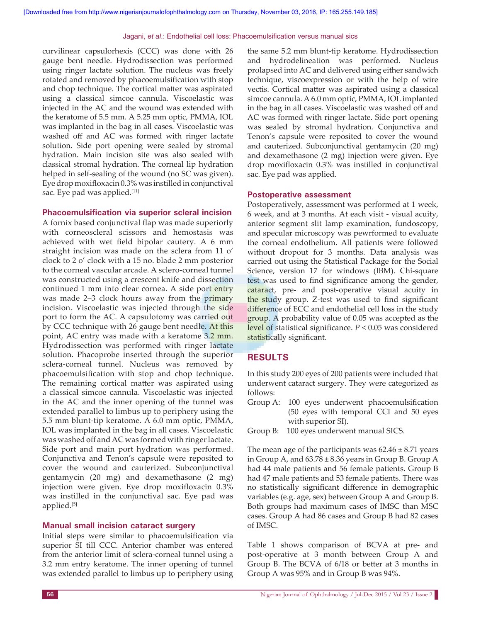curvilinear capsulorhexis (CCC) was done with 26 gauge bent needle. Hydrodissection was performed using ringer lactate solution. The nucleus was freely rotated and removed by phacoemulsification with stop and chop technique. The cortical matter was aspirated using a classical simcoe cannula. Viscoelastic was injected in the AC and the wound was extended with the keratome of 5.5 mm. A 5.25 mm optic, PMMA, IOL was implanted in the bag in all cases. Viscoelastic was washed off and AC was formed with ringer lactate solution. Side port opening were sealed by stromal hydration. Main incision site was also sealed with classical stromal hydration. The corneal lip hydration helped in self-sealing of the wound (no SC was given). Eye drop moxifloxacin 0.3% was instilled in conjunctival sac. Eye pad was applied.<sup>[11]</sup>

#### **Phacoemulsification via superior scleral incision**

A fornix based conjunctival flap was made superiorly with corneoscleral scissors and hemostasis was achieved with wet field bipolar cautery. A 6 mm straight incision was made on the sclera from 11 o' clock to 2 o' clock with a 15 no. blade 2 mm posterior to the corneal vascular arcade. A sclero‑corneal tunnel was constructed using a crescent knife and dissection continued 1 mm into clear cornea. A side port entry was made 2–3 clock hours away from the primary incision. Viscoelastic was injected through the side port to form the AC. A capsulotomy was carried out by CCC technique with 26 gauge bent needle. At this point, AC entry was made with a keratome 3.2 mm. Hydrodissection was performed with ringer lactate solution. Phacoprobe inserted through the superior sclera‑corneal tunnel. Nucleus was removed by phacoemulsification with stop and chop technique. The remaining cortical matter was aspirated using a classical simcoe cannula. Viscoelastic was injected in the AC and the inner opening of the tunnel was extended parallel to limbus up to periphery using the 5.5 mm blunt‑tip keratome. A 6.0 mm optic, PMMA, IOL was implanted in the bag in all cases. Viscoelastic was washed off and AC was formed with ringer lactate. Side port and main port hydration was performed. Conjunctiva and Tenon's capsule were reposited to cover the wound and cauterized. Subconjunctival gentamycin (20 mg) and dexamethasone (2 mg) injection were given. Eye drop moxifloxacin 0.3% was instilled in the conjunctival sac. Eye pad was applied.[5]

#### **Manual small incision cataract surgery**

Initial steps were similar to phacoemulsification via superior SI till CCC. Anterior chamber was entered from the anterior limit of sclera‑corneal tunnel using a 3.2 mm entry keratome. The inner opening of tunnel was extended parallel to limbus up to periphery using

the same 5.2 mm blunt-tip keratome. Hydrodissection and hydrodelineation was performed. Nucleus prolapsed into AC and delivered using either sandwich technique, viscoexpression or with the help of wire vectis. Cortical matter was aspirated using a classical simcoe cannula. A 6.0 mm optic, PMMA, IOL implanted in the bag in all cases. Viscoelastic was washed off and AC was formed with ringer lactate. Side port opening was sealed by stromal hydration. Conjunctiva and Tenon's capsule were reposited to cover the wound and cauterized. Subconjunctival gentamycin (20 mg) and dexamethasone (2 mg) injection were given. Eye drop moxifloxacin 0.3% was instilled in conjunctival sac. Eye pad was applied.

#### **Postoperative assessment**

Postoperatively, assessment was performed at 1 week, 6 week, and at 3 months. At each visit ‑ visual acuity, anterior segment slit lamp examination, fundoscopy, and specular microscopy was pewrformed to evaluate the corneal endothelium. All patients were followed without dropout for 3 months. Data analysis was carried out using the Statistical Package for the Social Science, version 17 for windows (IBM). Chi-square test was used to find significance among the gender, cataract, pre- and post-operative visual acuity in the study group. Z‑test was used to find significant difference of ECC and endothelial cell loss in the study group. A probability value of 0.05 was accepted as the level of statistical significance. *P* < 0.05 was considered statistically significant.

## **RESULTS**

In this study 200 eyes of 200 patients were included that underwent cataract surgery. They were categorized as follows:

Group A: 100 eyes underwent phacoemulsification (50 eyes with temporal CCI and 50 eyes with superior SI).

Group B: 100 eyes underwent manual SICS.

The mean age of the participants was  $62.46 \pm 8.71$  years in Group A, and  $63.78 \pm 8.36$  years in Group B. Group A had 44 male patients and 56 female patients. Group B had 47 male patients and 53 female patients. There was no statistically significant difference in demographic variables (e.g. age, sex) between Group A and Group B. Both groups had maximum cases of IMSC than MSC cases. Group A had 86 cases and Group B had 82 cases of IMSC.

Table 1 shows comparison of BCVA at pre- and post‑operative at 3 month between Group A and Group B. The BCVA of 6/18 or better at 3 months in Group A was 95% and in Group B was 94%.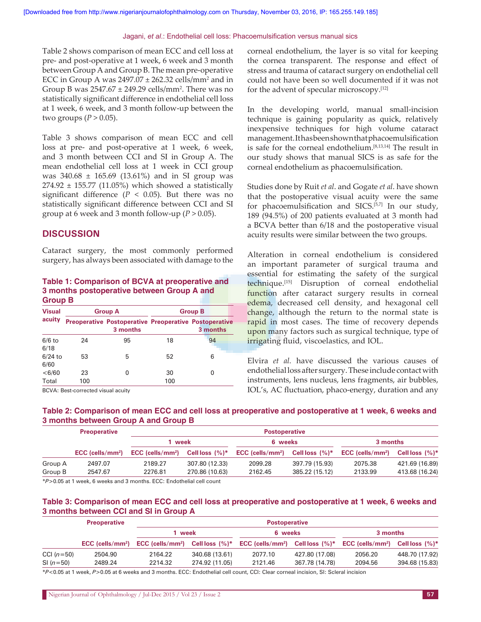Table 2 shows comparison of mean ECC and cell loss at pre- and post-operative at 1 week, 6 week and 3 month between Group A and Group B. The mean pre‑operative ECC in Group A was  $2497.07 \pm 262.32$  cells/mm<sup>2</sup> and in Group B was  $2547.67 \pm 249.29$  cells/mm<sup>2</sup>. There was no statistically significant difference in endothelial cell loss at 1 week, 6 week, and 3 month follow‑up between the two groups  $(P > 0.05)$ .

Table 3 shows comparison of mean ECC and cell loss at pre- and post-operative at 1 week, 6 week, and 3 month between CCI and SI in Group A. The mean endothelial cell loss at 1 week in CCI group was  $340.68 \pm 165.69$  (13.61%) and in SI group was  $274.92 \pm 155.77$  (11.05%) which showed a statistically significant difference ( $P < 0.05$ ). But there was no statistically significant difference between CCI and SI group at 6 week and 3 month follow-up  $(P > 0.05)$ .

### **DISCUSSION**

Cataract surgery, the most commonly performed surgery, has always been associated with damage to the

#### **Table 1: Comparison of BCVA at preoperative and 3 months postoperative between Group A and Group B**

| <b>Visual</b>     |           | <b>Group A</b>                                                           | <b>Group B</b> |          |  |
|-------------------|-----------|--------------------------------------------------------------------------|----------------|----------|--|
| acuity            |           | <b>Preoperative Postoperative Preoperative Postoperative</b><br>3 months |                | 3 months |  |
| $6/6$ to<br>6/18  | 24        | 95                                                                       | 18             | 94       |  |
| $6/24$ to<br>6/60 | 53        | 5                                                                        | 52             | 6        |  |
| < 6/60<br>Total   | 23<br>100 | ი                                                                        | 30<br>100      | O        |  |

BCVA: Best-corrected visual acuity

corneal endothelium, the layer is so vital for keeping the cornea transparent. The response and effect of stress and trauma of cataract surgery on endothelial cell could not have been so well documented if it was not for the advent of specular microscopy.[12]

In the developing world, manual small-incision technique is gaining popularity as quick, relatively inexpensive techniques for high volume cataract management. It has been shown that phacoemulsification is safe for the corneal endothelium.[8,13,14] The result in our study shows that manual SICS is as safe for the corneal endothelium as phacoemulsification.

Studies done by Ruit *et al*. and Gogate *et al*. have shown that the postoperative visual acuity were the same for phacoemulsification and SICS.[5,7] In our study, 189 (94.5%) of 200 patients evaluated at 3 month had a BCVA better than 6/18 and the postoperative visual acuity results were similar between the two groups.

Alteration in corneal endothelium is considered an important parameter of surgical trauma and essential for estimating the safety of the surgical technique.[15] Disruption of corneal endothelial function after cataract surgery results in corneal edema, decreased cell density, and hexagonal cell change, although the return to the normal state is rapid in most cases. The time of recovery depends upon many factors such as surgical technique, type of irrigating fluid, viscoelastics, and IOL.

Elvira *et al.* have discussed the various causes of endothelial loss after surgery. These include contact with instruments, lens nucleus, lens fragments, air bubbles, IOL's, AC fluctuation, phaco-energy, duration and any

#### **Table 2: Comparison of mean ECC and cell loss at preoperative and postoperative at 1 week, 6 weeks and 3 months between Group A and Group B**

|         | <b>Preoperative</b>            | <b>Postoperative</b>           |                   |                                |                   |                                |                    |
|---------|--------------------------------|--------------------------------|-------------------|--------------------------------|-------------------|--------------------------------|--------------------|
|         | $ECC$ (cells/mm <sup>2</sup> ) | 1 week                         |                   | 6 weeks                        |                   | 3 months                       |                    |
|         |                                | $ECC$ (cells/mm <sup>2</sup> ) | Cell loss $(%)^*$ | $ECC$ (cells/mm <sup>2</sup> ) | Cell loss $(%)^*$ | $ECC$ (cells/mm <sup>2</sup> ) | Cell loss $(\%)^*$ |
| Group A | 2497.07                        | 2189.27                        | 307.80 (12.33)    | 2099.28                        | 397.79 (15.93)    | 2075.38                        | 421.69 (16.89)     |
| Group B | 2547.67                        | 2276.81                        | 270.86 (10.63)    | 2162.45                        | 385.22 (15.12)    | 2133.99                        | 413.68 (16.24)     |

\**P*>0.05 at 1 week, 6 weeks and 3 months. ECC: Endothelial cell count

#### **Table 3: Comparison of mean ECC and cell loss at preoperative and postoperative at 1 week, 6 weeks and 3 months between CCI and SI in Group A**

|              | <b>Preoperative</b>            | <b>Postoperative</b> |                   |                                                 |                |                                |                   |
|--------------|--------------------------------|----------------------|-------------------|-------------------------------------------------|----------------|--------------------------------|-------------------|
|              | $ECC$ (cells/mm <sup>2</sup> ) | 1 week               |                   | 6 weeks                                         |                | 3 months                       |                   |
|              |                                | ECC (cells/ $mm2$ )  | Cell loss $(%)^*$ | ECC (cells/mm <sup>2</sup> ) Cell loss $(\%)^*$ |                | $ECC$ (cells/mm <sup>2</sup> ) | Cell loss $(%)^*$ |
| CCI $(n=50)$ | 2504.90                        | 2164.22              | 340.68 (13.61)    | 2077.10                                         | 427.80 (17.08) | 2056.20                        | 448.70 (17.92)    |
| $SI(n=50)$   | 2489.24                        | 2214.32              | 274.92 (11.05)    | 2121.46                                         | 367.78 (14.78) | 2094.56                        | 394.68 (15.83)    |
|              |                                |                      |                   |                                                 |                |                                |                   |

\**P*<0.05 at 1 week, *P*>0.05 at 6 weeks and 3 months. ECC: Endothelial cell count, CCI: Clear corneal incision, SI: Scleral incision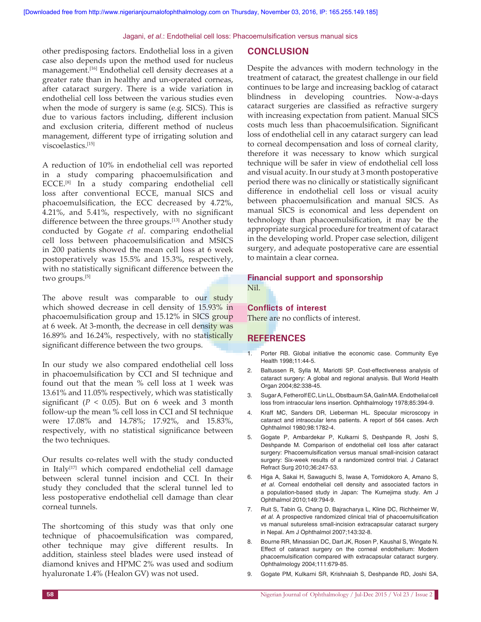other predisposing factors. Endothelial loss in a given case also depends upon the method used for nucleus management.[16] Endothelial cell density decreases at a greater rate than in healthy and un‑operated corneas, after cataract surgery. There is a wide variation in endothelial cell loss between the various studies even when the mode of surgery is same (e.g. SICS). This is due to various factors including, different inclusion and exclusion criteria, different method of nucleus management, different type of irrigating solution and viscoelastics.[15]

A reduction of 10% in endothelial cell was reported in a study comparing phacoemulsification and ECCE.[8] In a study comparing endothelial cell loss after conventional ECCE, manual SICS and phacoemulsification, the ECC decreased by 4.72%, 4.21%, and 5.41%, respectively, with no significant difference between the three groups.<sup>[13]</sup> Another study conducted by Gogate *et al*. comparing endothelial cell loss between phacoemulsification and MSICS in 200 patients showed the mean cell loss at 6 week postoperatively was 15.5% and 15.3%, respectively, with no statistically significant difference between the two groups.<sup>[5]</sup>

The above result was comparable to our study which showed decrease in cell density of 15.93% in phacoemulsification group and 15.12% in SICS group at 6 week. At 3-month, the decrease in cell density was 16.89% and 16.24%, respectively, with no statistically significant difference between the two groups.

In our study we also compared endothelial cell loss in phacoemulsification by CCI and SI technique and found out that the mean % cell loss at 1 week was 13.61% and 11.05% respectively, which was statistically significant ( $P < 0.05$ ). But on 6 week and 3 month follow‑up the mean % cell loss in CCI and SI technique were 17.08% and 14.78%; 17.92%, and 15.83%, respectively, with no statistical significance between the two techniques.

Our results co‑relates well with the study conducted in Italy<sup>[17]</sup> which compared endothelial cell damage between scleral tunnel incision and CCI. In their study they concluded that the scleral tunnel led to less postoperative endothelial cell damage than clear corneal tunnels.

The shortcoming of this study was that only one technique of phacoemulsification was compared, other technique may give different results. In addition, stainless steel blades were used instead of diamond knives and HPMC 2% was used and sodium hyaluronate 1.4% (Healon GV) was not used.

#### **CONCLUSION**

Despite the advances with modern technology in the treatment of cataract, the greatest challenge in our field continues to be large and increasing backlog of cataract blindness in developing countries. Now-a-days cataract surgeries are classified as refractive surgery with increasing expectation from patient. Manual SICS costs much less than phacoemulsification. Significant loss of endothelial cell in any cataract surgery can lead to corneal decompensation and loss of corneal clarity, therefore it was necessary to know which surgical technique will be safer in view of endothelial cell loss and visual acuity. In our study at 3 month postoperative period there was no clinically or statistically significant difference in endothelial cell loss or visual acuity between phacoemulsification and manual SICS. As manual SICS is economical and less dependent on technology than phacoemulsification, it may be the appropriate surgical procedure for treatment of cataract in the developing world. Proper case selection, diligent surgery, and adequate postoperative care are essential to maintain a clear cornea.

## **Financial support and sponsorship**

Nil.

## **Conflicts of interest**

There are no conflicts of interest.

### **REFERENCES**

- 1. Porter RB. Global initiative the economic case. Community Eye Health 1998;11:44-5.
- 2. Baltussen R, Sylla M, Mariotti SP. Cost-effectiveness analysis of cataract surgery: A global and regional analysis. Bull World Health Organ 2004;82:338-45.
- 3. SugarA, FetherolfEC, LinLL, ObstbaumSA, GalinMA. Endothelial cell loss from intraocular lens insertion. Ophthalmology 1978;85:394-9.
- 4. Kraff MC, Sanders DR, Lieberman HL. Specular microscopy in cataract and intraocular lens patients. A report of 564 cases. Arch Ophthalmol 1980;98:1782-4.
- 5. Gogate P, Ambardekar P, Kulkarni S, Deshpande R, Joshi S, Deshpande M. Comparison of endothelial cell loss after cataract surgery: Phacoemulsification versus manual small-incision cataract surgery: Six-week results of a randomized control trial. J Cataract Refract Surg 2010;36:247-53.
- 6. Higa A, Sakai H, Sawaguchi S, Iwase A, Tomidokoro A, Amano S, *et al.* Corneal endothelial cell density and associated factors in a population-based study in Japan: The Kumejima study. Am J Ophthalmol 2010;149:794-9.
- 7. Ruit S, Tabin G, Chang D, Bajracharya L, Kline DC, Richheimer W, *et al*. A prospective randomized clinical trial of phacoemulsification vs manual sutureless small-incision extracapsular cataract surgery in Nepal. Am J Ophthalmol 2007;143:32-8.
- 8. Bourne RR, Minassian DC, Dart JK, Rosen P, Kaushal S, Wingate N. Effect of cataract surgery on the corneal endothelium: Modern phacoemulsification compared with extracapsular cataract surgery. Ophthalmology 2004;111:679-85.
- 9. Gogate PM, Kulkarni SR, Krishnaiah S, Deshpande RD, Joshi SA,